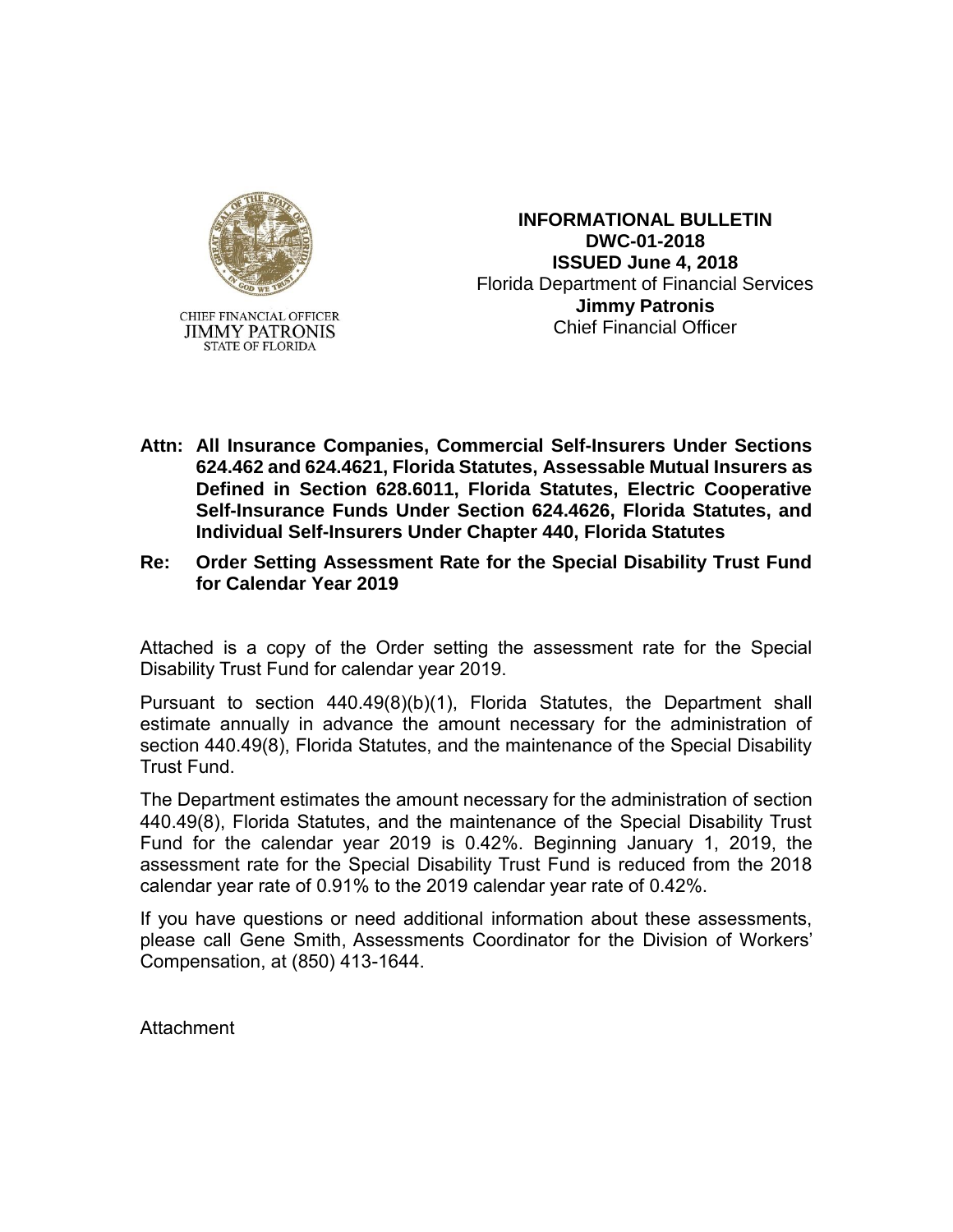

**INFORMATIONAL BULLETIN DWC-01-2018 ISSUED June 4, 2018** Florida Department of Financial Services **Jimmy Patronis** Chief Financial Officer

- **Attn: All Insurance Companies, Commercial Self-Insurers Under Sections 624.462 and 624.4621, Florida Statutes, Assessable Mutual Insurers as Defined in Section 628.6011, Florida Statutes, Electric Cooperative Self-Insurance Funds Under Section 624.4626, Florida Statutes, and Individual Self-Insurers Under Chapter 440, Florida Statutes**
- **Re: Order Setting Assessment Rate for the Special Disability Trust Fund for Calendar Year 2019**

Attached is a copy of the Order setting the assessment rate for the Special Disability Trust Fund for calendar year 2019.

Pursuant to section 440.49(8)(b)(1), Florida Statutes, the Department shall estimate annually in advance the amount necessary for the administration of section 440.49(8), Florida Statutes, and the maintenance of the Special Disability Trust Fund.

The Department estimates the amount necessary for the administration of section 440.49(8), Florida Statutes, and the maintenance of the Special Disability Trust Fund for the calendar year 2019 is 0.42%. Beginning January 1, 2019, the assessment rate for the Special Disability Trust Fund is reduced from the 2018 calendar year rate of 0.91% to the 2019 calendar year rate of 0.42%.

If you have questions or need additional information about these assessments, please call Gene Smith, Assessments Coordinator for the Division of Workers' Compensation, at (850) 413-1644.

**Attachment**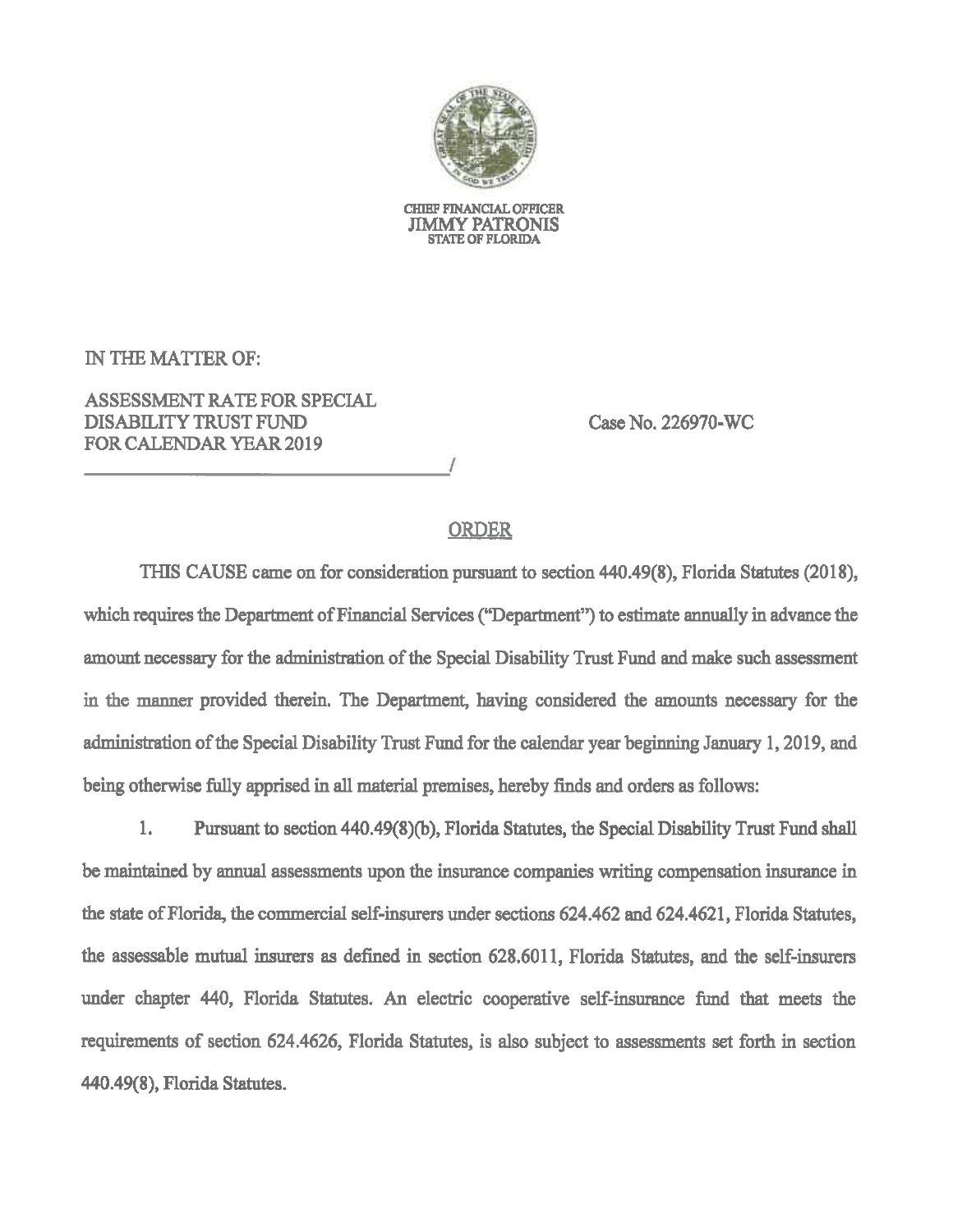

**CHIEF FINANCIAL OFFICER JIMMY PATRONIS STATE OF FLORIDA** 

IN THE MATTER OF:

**ASSESSMENT RATE FOR SPECIAL DISABILITY TRUST FUND FOR CALENDAR YEAR 2019** 

Case No. 226970-WC

## **ORDER**

THIS CAUSE came on for consideration pursuant to section 440.49(8), Florida Statutes (2018), which requires the Department of Financial Services ("Department") to estimate annually in advance the amount necessary for the administration of the Special Disability Trust Fund and make such assessment in the manner provided therein. The Department, having considered the amounts necessary for the administration of the Special Disability Trust Fund for the calendar year beginning January 1, 2019, and being otherwise fully apprised in all material premises, hereby finds and orders as follows:

Pursuant to section 440.49(8)(b), Florida Statutes, the Special Disability Trust Fund shall 1. be maintained by annual assessments upon the insurance companies writing compensation insurance in the state of Florida, the commercial self-insurers under sections 624.462 and 624.4621, Florida Statutes, the assessable mutual insurers as defined in section 628.6011, Florida Statutes, and the self-insurers under chapter 440, Florida Statutes. An electric cooperative self-insurance fund that meets the requirements of section 624.4626, Florida Statutes, is also subject to assessments set forth in section 440.49(8), Florida Statutes.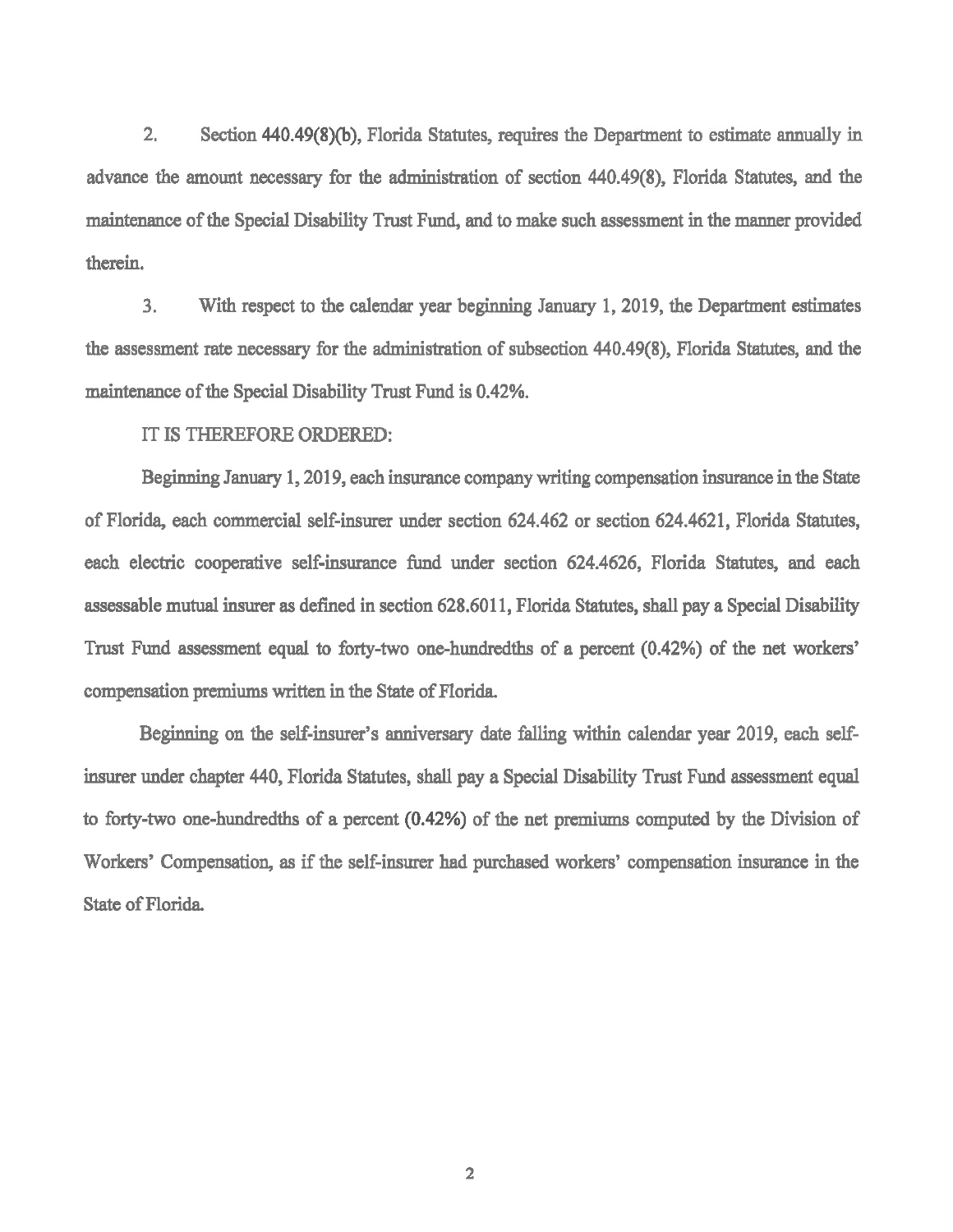$2<sub>1</sub>$ Section 440.49(8)(b), Florida Statutes, requires the Department to estimate annually in advance the amount necessary for the administration of section 440.49(8), Florida Statutes, and the maintenance of the Special Disability Trust Fund, and to make such assessment in the manner provided therein.

3. With respect to the calendar year beginning January 1, 2019, the Department estimates the assessment rate necessary for the administration of subsection 440.49(8), Florida Statutes, and the maintenance of the Special Disability Trust Fund is 0.42%.

IT IS THEREFORE ORDERED:

Beginning January 1, 2019, each insurance company writing compensation insurance in the State of Florida, each commercial self-insurer under section 624.462 or section 624.4621, Florida Statutes, each electric cooperative self-insurance fund under section 624.4626, Florida Statutes, and each assessable mutual insurer as defined in section 628.6011, Florida Statutes, shall pay a Special Disability Trust Fund assessment equal to forty-two one-hundredths of a percent (0.42%) of the net workers' compensation premiums written in the State of Florida.

Beginning on the self-insurer's anniversary date falling within calendar year 2019, each selfinsurer under chapter 440, Florida Statutes, shall pay a Special Disability Trust Fund assessment equal to forty-two one-hundredths of a percent (0.42%) of the net premiums computed by the Division of Workers' Compensation, as if the self-insurer had purchased workers' compensation insurance in the State of Florida.

 $\overline{2}$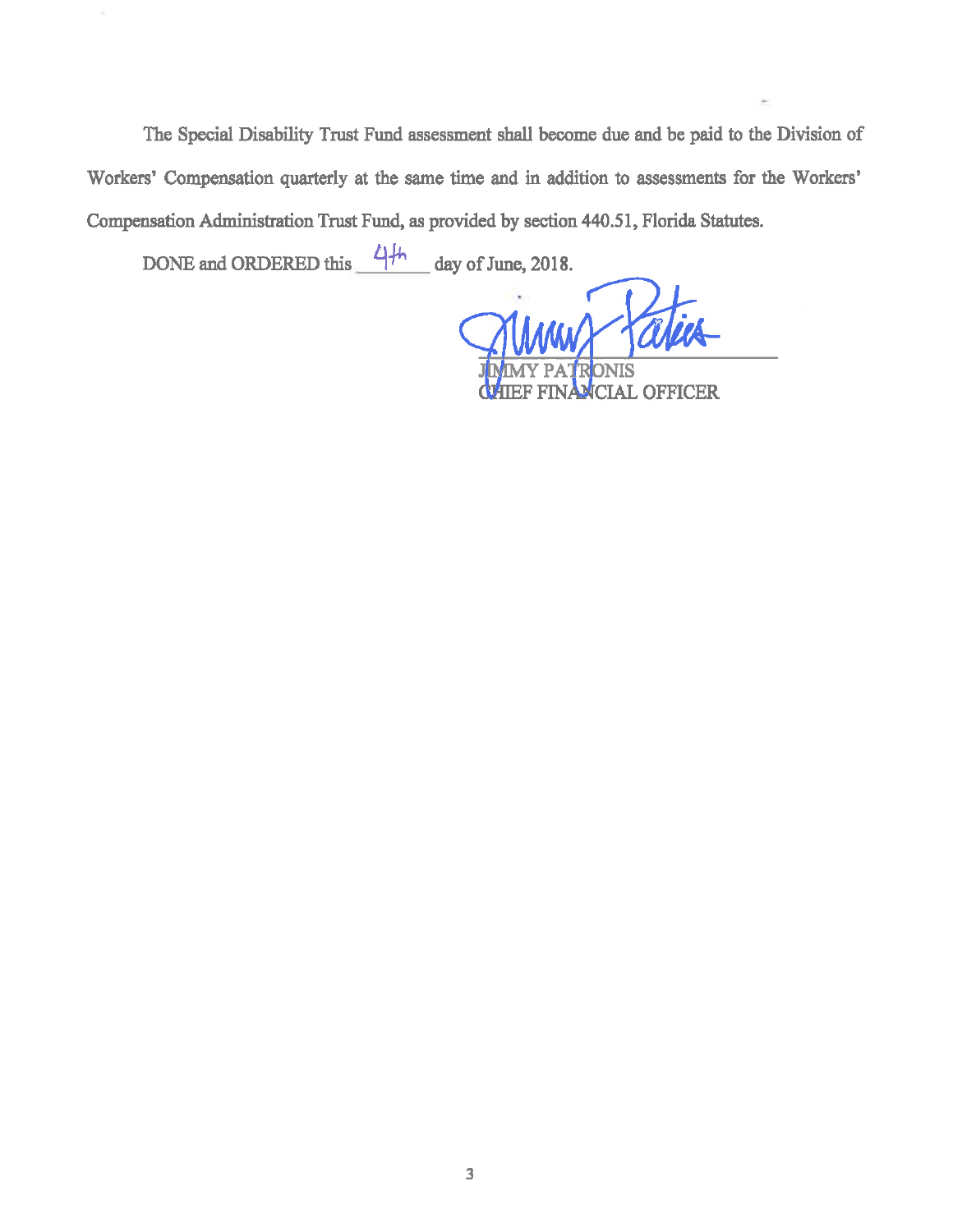The Special Disability Trust Fund assessment shall become due and be paid to the Division of Workers' Compensation quarterly at the same time and in addition to assessments for the Workers' Compensation Administration Trust Fund, as provided by section 440.51, Florida Statutes.

DONE and ORDERED this  $4/h$  day of June, 2018.

Innes Ta

**ICIAL OFFICER**